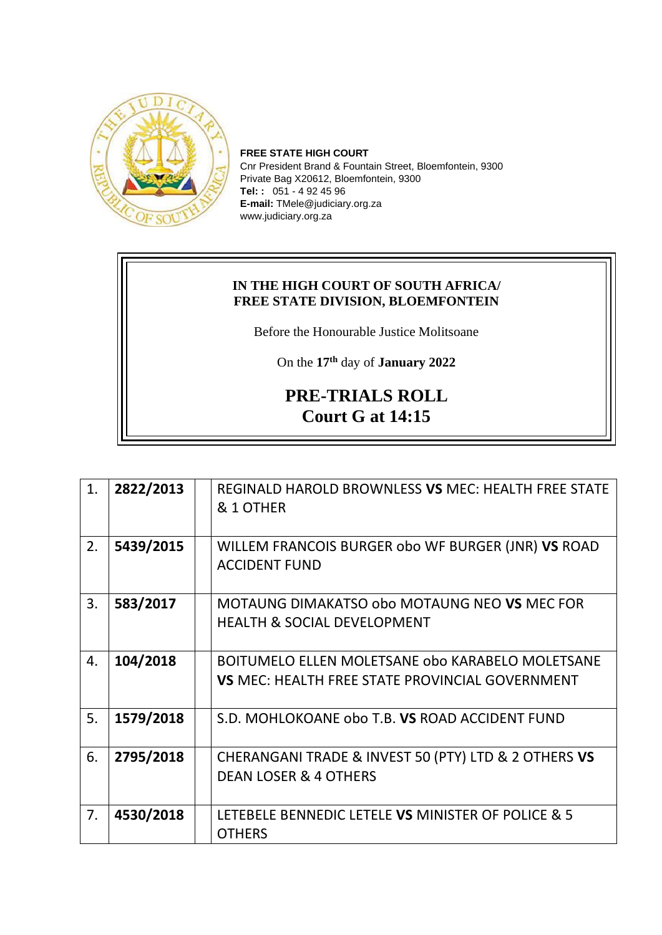

**FREE STATE HIGH COURT** Cnr President Brand & Fountain Street, Bloemfontein, 9300 Private Bag X20612, Bloemfontein, 9300 **Tel: :** 051 - 4 92 45 96 **E-mail:** TMele@judiciary.org.za www.judiciary.org.za

## **IN THE HIGH COURT OF SOUTH AFRICA/ FREE STATE DIVISION, BLOEMFONTEIN**

Before the Honourable Justice Molitsoane

On the **17th** day of **January 2022**

## **PRE-TRIALS ROLL Court G at 14:15**

| 1. | 2822/2013 | REGINALD HAROLD BROWNLESS VS MEC: HEALTH FREE STATE<br>& 1 OTHER                                           |
|----|-----------|------------------------------------------------------------------------------------------------------------|
| 2. | 5439/2015 | WILLEM FRANCOIS BURGER obo WF BURGER (JNR) VS ROAD<br><b>ACCIDENT FUND</b>                                 |
| 3. | 583/2017  | MOTAUNG DIMAKATSO obo MOTAUNG NEO VS MEC FOR<br><b>HEALTH &amp; SOCIAL DEVELOPMENT</b>                     |
| 4. | 104/2018  | BOITUMELO ELLEN MOLETSANE obo KARABELO MOLETSANE<br><b>VS MEC: HEALTH FREE STATE PROVINCIAL GOVERNMENT</b> |
| 5. | 1579/2018 | S.D. MOHLOKOANE obo T.B. VS ROAD ACCIDENT FUND                                                             |
| 6. | 2795/2018 | CHERANGANI TRADE & INVEST 50 (PTY) LTD & 2 OTHERS VS<br><b>DEAN LOSER &amp; 4 OTHERS</b>                   |
| 7. | 4530/2018 | LETEBELE BENNEDIC LETELE VS MINISTER OF POLICE & 5<br><b>OTHERS</b>                                        |